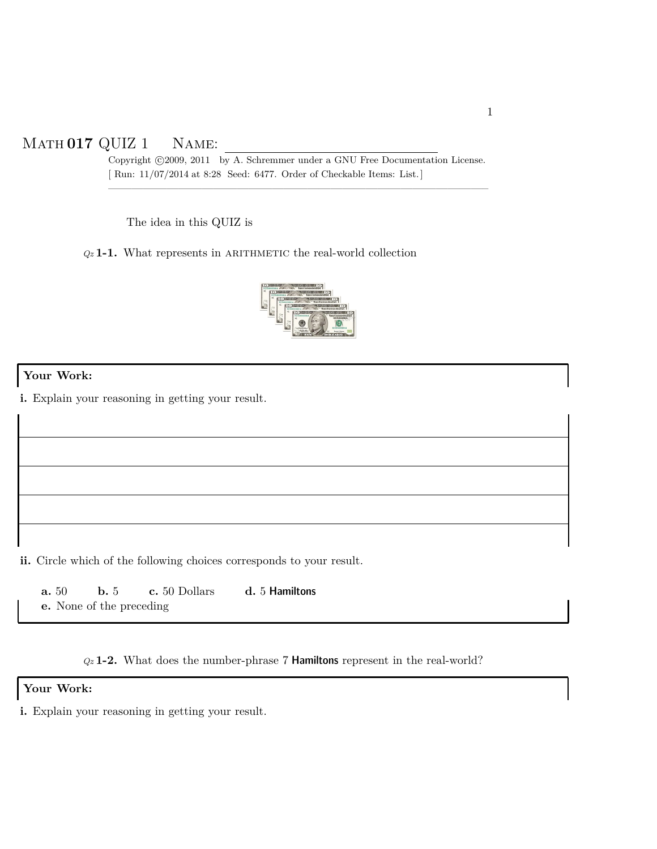# Math **017** QUIZ 1 Name:

Copyright ©2009, 2011 by A. Schremmer under a GNU Free Documentation License. [ Run: 11/07/2014 at 8:28 Seed: 6477. Order of Checkable Items: List.]

————————————————————————————————–

The idea in this QUIZ is

*Qz* **1-1.** What represents in arithmetic the real-world collection



#### **Your Work:**

**i.** Explain your reasoning in getting your result.

**ii.** Circle which of the following choices corresponds to your result.

**a.** 50 **b.** 5 **c.** 50 Dollars **d.** 5 Hamiltons **e.** None of the preceding

*Qz* **1-2.** What does the number-phrase 7 Hamiltons represent in the real-world?

#### **Your Work:**

**i.** Explain your reasoning in getting your result.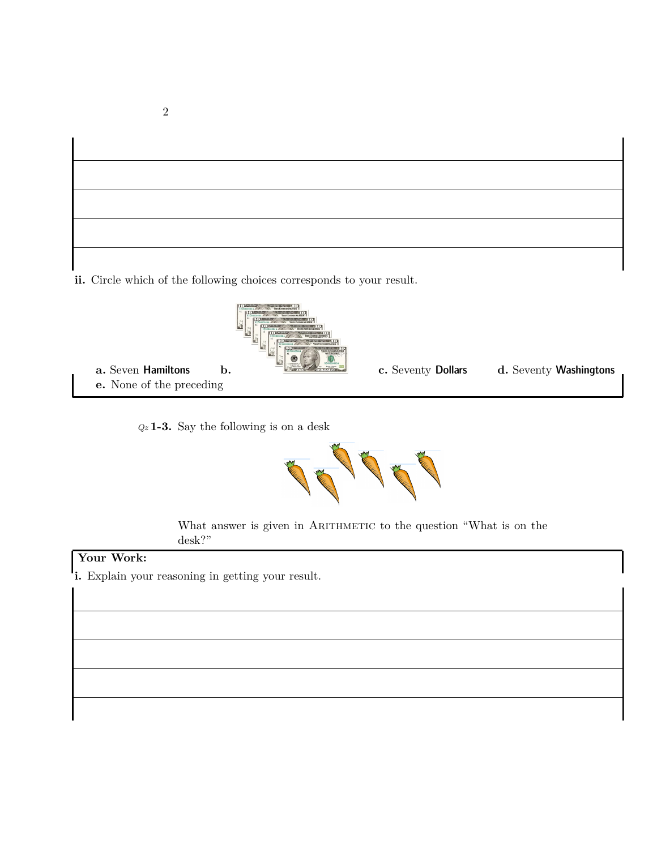

*Qz* **1-3.** Say the following is on a desk



What answer is given in ARITHMETIC to the question "What is on the desk?"

## **Your Work:**

**i.** Explain your reasoning in getting your result.

2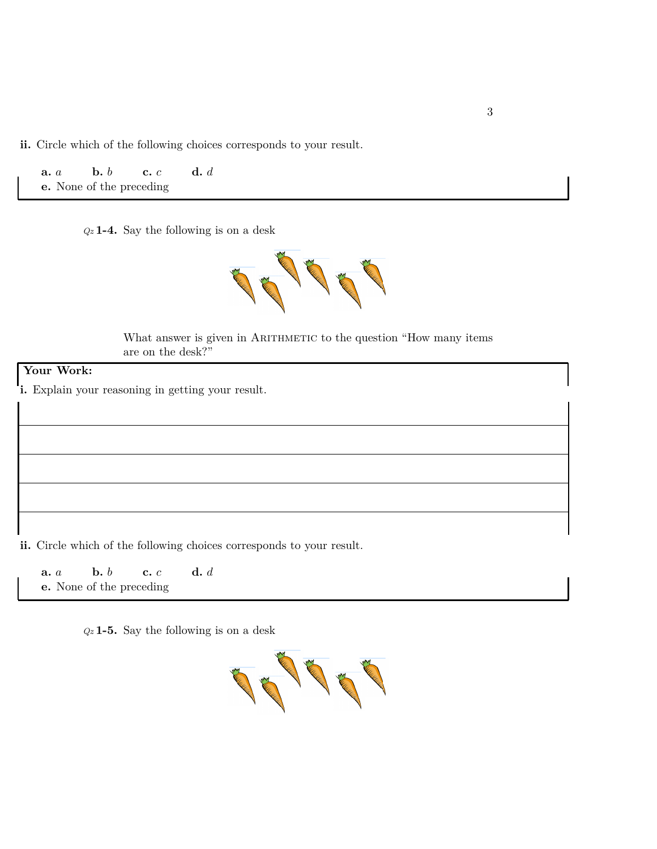**a.** *a* **b.** *b* **c.** *c* **d.** *d* **e.** None of the preceding

*Qz* **1-4.** Say the following is on a desk



What answer is given in ARITHMETIC to the question "How many items are on the desk?"

#### **Your Work:**

**i.** Explain your reasoning in getting your result.

**ii.** Circle which of the following choices corresponds to your result.

**a.** *a* **b.** *b* **c.** *c* **d.** *d* **e.** None of the preceding

*Qz* **1-5.** Say the following is on a desk

The Contract of Contract of Contract of Contract of Contract of Contract of Contract of Contract of Contract o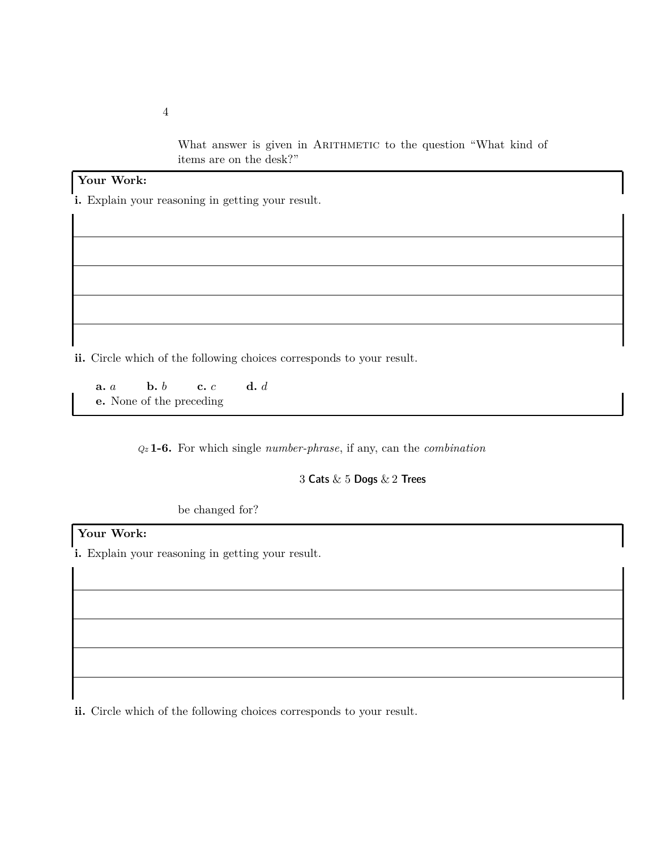What answer is given in ARITHMETIC to the question "What kind of items are on the desk?"

## **Your Work:**

**i.** Explain your reasoning in getting your result.

**ii.** Circle which of the following choices corresponds to your result.

**a.** *a* **b.** *b* **c.** *c* **d.** *d* **e.** None of the preceding

*Qz* **1-6.** For which single *number-phrase*, if any, can the *combination*

3 Cats & 5 Dogs & 2 Trees

be changed for?

## **Your Work:**

**i.** Explain your reasoning in getting your result.

**ii.** Circle which of the following choices corresponds to your result.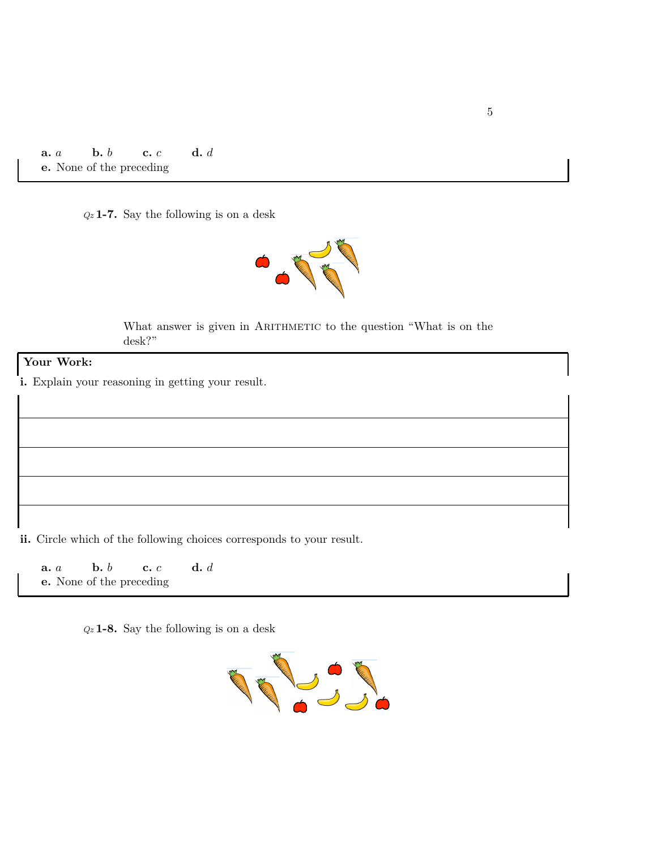**a.** *a* **b.** *b* **c.** *c* **d.** *d* **e.** None of the preceding

*Qz* **1-7.** Say the following is on a desk



What answer is given in ARITHMETIC to the question "What is on the desk?"

#### **Your Work:**

**i.** Explain your reasoning in getting your result.

**ii.** Circle which of the following choices corresponds to your result.

**a.** *a* **b.** *b* **c.** *c* **d.** *d* **e.** None of the preceding

*Qz* **1-8.** Say the following is on a desk

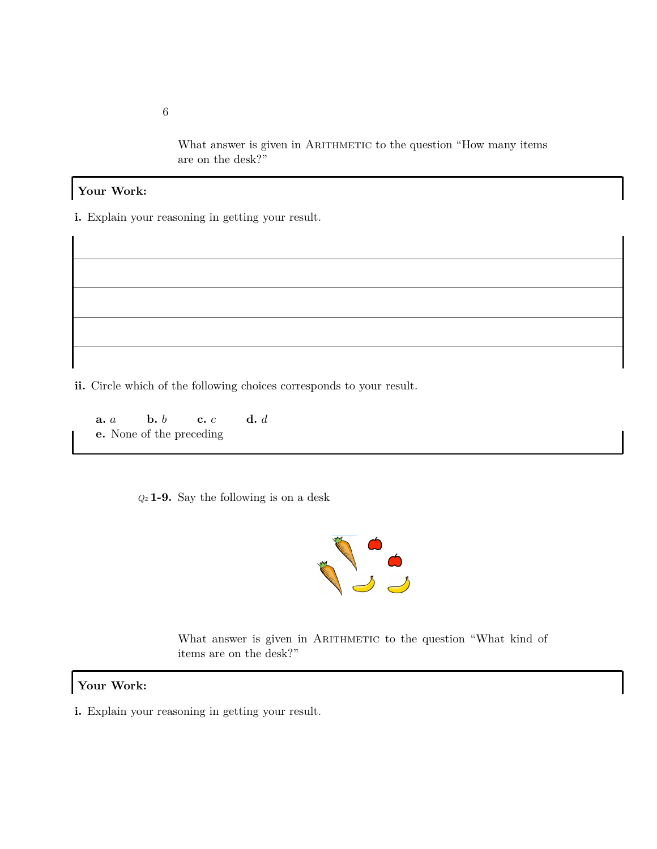What answer is given in ARITHMETIC to the question "How many items are on the desk?"

#### **Your Work:**

**i.** Explain your reasoning in getting your result.

**ii.** Circle which of the following choices corresponds to your result.

**a.** *a* **b.** *b* **c.** *c* **d.** *d* **e.** None of the preceding

*Qz* **1-9.** Say the following is on a desk



What answer is given in ARITHMETIC to the question "What kind of items are on the desk?"

## **Your Work:**

**i.** Explain your reasoning in getting your result.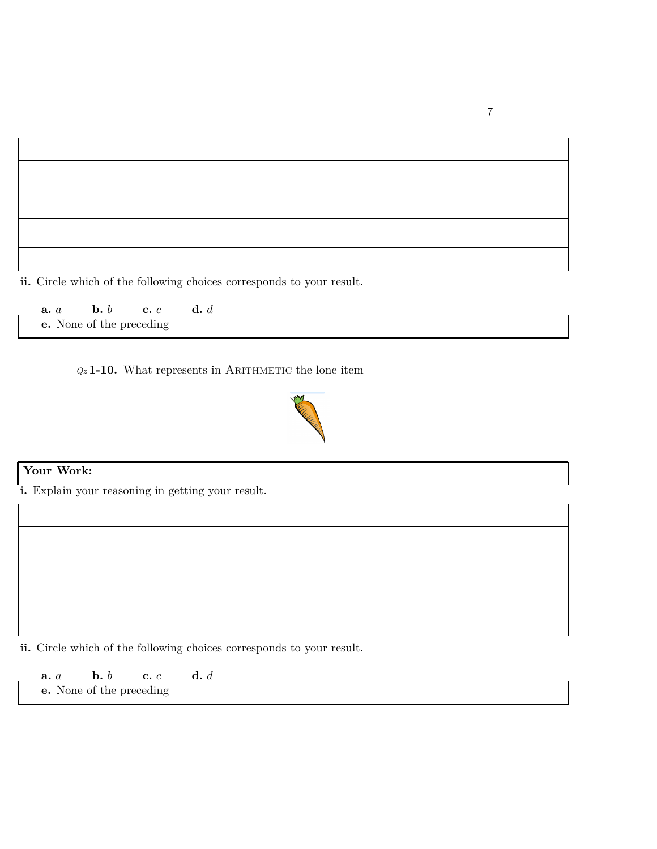**a.** *a* **b.** *b* **c.** *c* **d.** *d* **e.** None of the preceding

 $Qz$  **1-10.** What represents in ARITHMETIC the lone item



## **Your Work:**

**i.** Explain your reasoning in getting your result.

**ii.** Circle which of the following choices corresponds to your result.

**a.** *a* **b.** *b* **c.** *c* **d.** *d* **e.** None of the preceding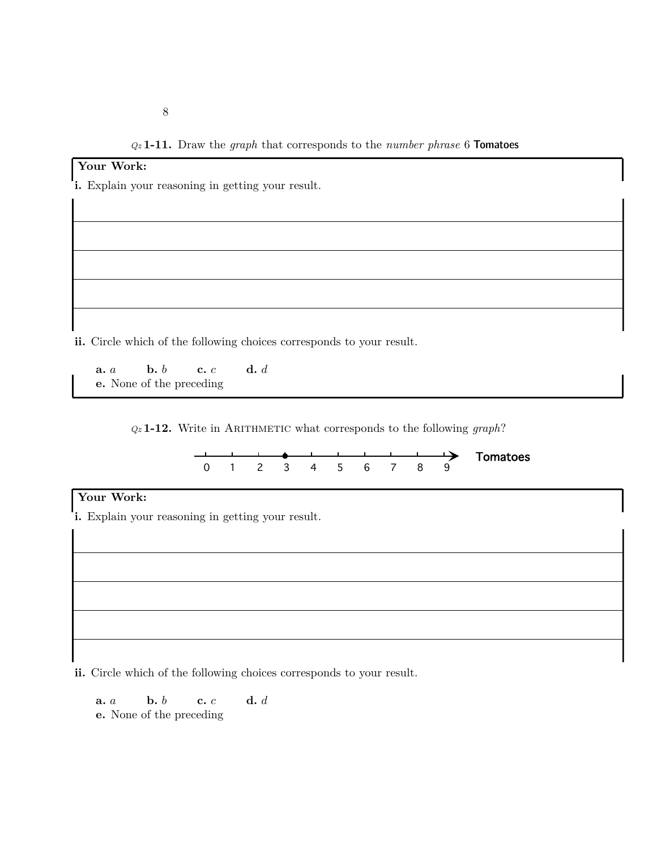# **Your Work: i.** Explain your reasoning in getting your result.

**ii.** Circle which of the following choices corresponds to your result.

**a.** *a* **b.** *b* **c.** *c* **d.** *d* **e.** None of the preceding

*Qz* **1-12.** Write in Arithmetic what corresponds to the following *graph*?



## **Your Work:**

**i.** Explain your reasoning in getting your result.

**ii.** Circle which of the following choices corresponds to your result.

**a.** *a* **b.** *b* **c.** *c* **d.** *d* **e.** None of the preceding

8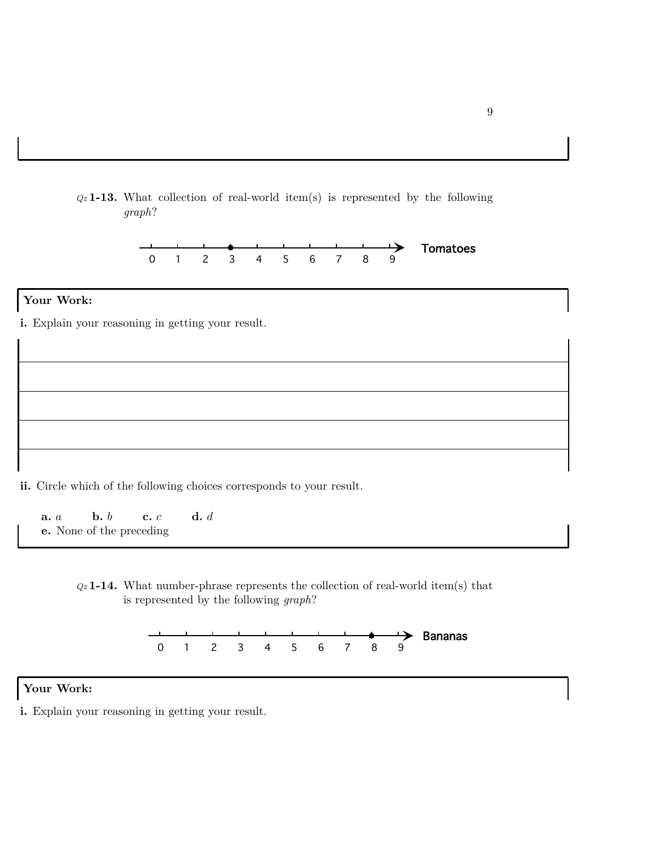



## **Your Work:**

**i.** Explain your reasoning in getting your result.

**ii.** Circle which of the following choices corresponds to your result.

**a.** *a* **b.** *b* **c.** *c* **d.** *d* **e.** None of the preceding





#### **Your Work:**

**i.** Explain your reasoning in getting your result.